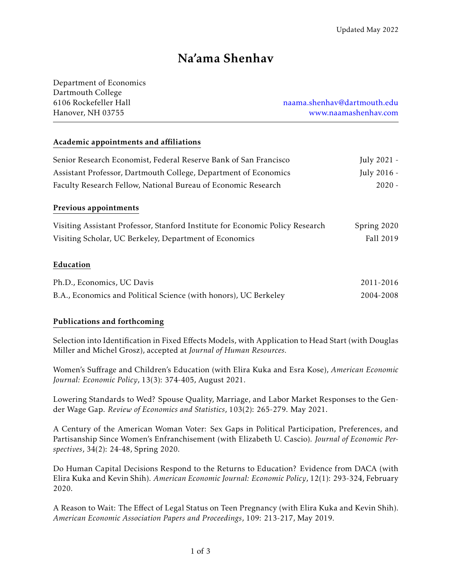# Na'ama Shenhav

| Department of Economics |
|-------------------------|
| Dartmouth College       |
| 6106 Rockefeller Hall   |
| Hanover, NH 03755       |

6106 Rockefeller Hall [naama.shenhav@dartmouth.edu](mailto: naama.shenhav@dartmouth.edu) nover, NH 03755 [www.naamashenhav.com](http://naamashenhav.com/)

#### Academic appointments and affiliations

| Senior Research Economist, Federal Reserve Bank of San Francisco              | July 2021 - |
|-------------------------------------------------------------------------------|-------------|
| Assistant Professor, Dartmouth College, Department of Economics               | July 2016 - |
| Faculty Research Fellow, National Bureau of Economic Research                 | $2020 -$    |
| Previous appointments                                                         |             |
| Visiting Assistant Professor, Stanford Institute for Economic Policy Research | Spring 2020 |
| Visiting Scholar, UC Berkeley, Department of Economics                        | Fall 2019   |
| Education                                                                     |             |
| Ph.D., Economics, UC Davis                                                    | 2011-2016   |
| B.A., Economics and Political Science (with honors), UC Berkeley              | 2004-2008   |

#### Publications and forthcoming

Selection into Identification in Fixed Effects Models, with Application to Head Start (with Douglas Miller and Michel Grosz), accepted at *Journal of Human Resources.*

Women's Suffrage and Children's Education (with Elira Kuka and Esra Kose), *American Economic Journal: Economic Policy*, 13(3): 374-405, August 2021.

Lowering Standards to Wed? Spouse Quality, Marriage, and Labor Market Responses to the Gender Wage Gap. *Review of Economics and Statistics*, 103(2): 265-279. May 2021.

A Century of the American Woman Voter: Sex Gaps in Political Participation, Preferences, and Partisanship Since Women's Enfranchisement (with Elizabeth U. Cascio). *Journal of Economic Perspectives*, 34(2): 24-48, Spring 2020.

Do Human Capital Decisions Respond to the Returns to Education? Evidence from DACA (with Elira Kuka and Kevin Shih). *American Economic Journal: Economic Policy*, 12(1): 293-324, February 2020.

A Reason to Wait: The Effect of Legal Status on Teen Pregnancy (with Elira Kuka and Kevin Shih). *American Economic Association Papers and Proceedings*, 109: 213-217, May 2019.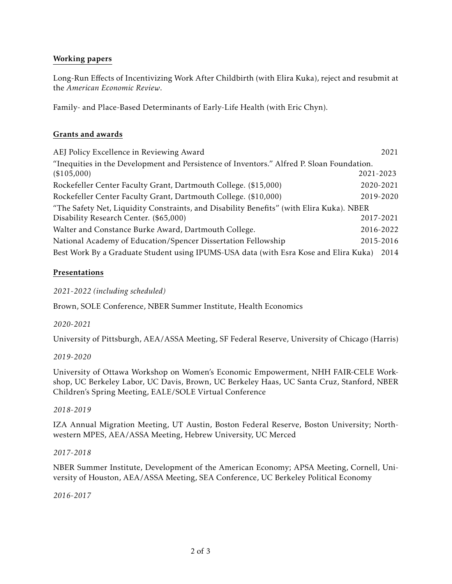#### Working papers

Long-Run Effects of Incentivizing Work After Childbirth (with Elira Kuka), reject and resubmit at the *American Economic Review*.

Family- and Place-Based Determinants of Early-Life Health (with Eric Chyn).

#### Grants and awards

| AEJ Policy Excellence in Reviewing Award                                                  | 2021      |
|-------------------------------------------------------------------------------------------|-----------|
| "Inequities in the Development and Persistence of Inventors." Alfred P. Sloan Foundation. |           |
| (\$105,000)                                                                               | 2021-2023 |
| Rockefeller Center Faculty Grant, Dartmouth College. (\$15,000)                           | 2020-2021 |
| Rockefeller Center Faculty Grant, Dartmouth College. (\$10,000)                           | 2019-2020 |
| "The Safety Net, Liquidity Constraints, and Disability Benefits" (with Elira Kuka). NBER  |           |
| Disability Research Center. (\$65,000)                                                    | 2017-2021 |
| Walter and Constance Burke Award, Dartmouth College.                                      | 2016-2022 |
| National Academy of Education/Spencer Dissertation Fellowship                             | 2015-2016 |
| Best Work By a Graduate Student using IPUMS-USA data (with Esra Kose and Elira Kuka)      | 2014      |

## Presentations

*2021-2022 (including scheduled)*

Brown, SOLE Conference, NBER Summer Institute, Health Economics

*2020-2021*

University of Pittsburgh, AEA/ASSA Meeting, SF Federal Reserve, University of Chicago (Harris)

#### *2019-2020*

University of Ottawa Workshop on Women's Economic Empowerment, NHH FAIR-CELE Workshop, UC Berkeley Labor, UC Davis, Brown, UC Berkeley Haas, UC Santa Cruz, Stanford, NBER Children's Spring Meeting, EALE/SOLE Virtual Conference

#### *2018-2019*

IZA Annual Migration Meeting, UT Austin, Boston Federal Reserve, Boston University; Northwestern MPES, AEA/ASSA Meeting, Hebrew University, UC Merced

#### *2017-2018*

NBER Summer Institute, Development of the American Economy; APSA Meeting, Cornell, University of Houston, AEA/ASSA Meeting, SEA Conference, UC Berkeley Political Economy

*2016-2017*